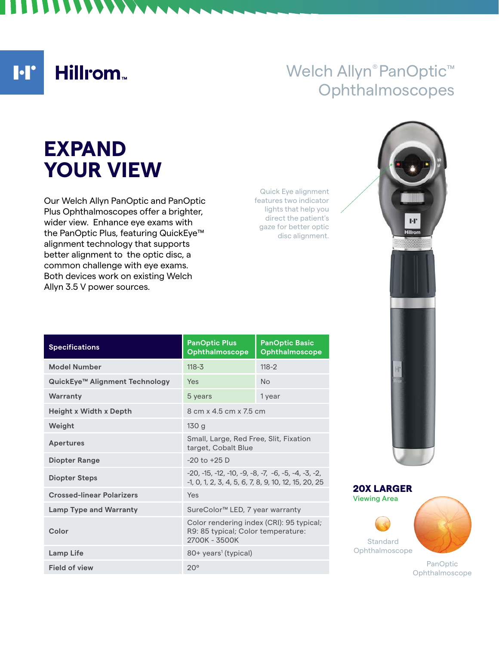**I**·I' Hillrom<sub>\*</sub>

## Welch Allyn® PanOptic<sup>™</sup> **Ophthalmoscopes**

# **EXPAND YOUR VIEW**

Our Welch Allyn PanOptic and PanOptic Plus Ophthalmoscopes offer a brighter, wider view. Enhance eye exams with the PanOptic Plus, featuring QuickEye™ alignment technology that supports better alignment to the optic disc, a common challenge with eye exams. Both devices work on existing Welch Allyn 3.5 V power sources.

Quick Eye alignment features two indicator lights that help you direct the patient's gaze for better optic disc alignment.

| <b>Specifications</b>            | <b>PanOptic Plus</b><br>Ophthalmoscope                                                                        | <b>PanOptic Basic</b><br>Ophthalmoscope |
|----------------------------------|---------------------------------------------------------------------------------------------------------------|-----------------------------------------|
| <b>Model Number</b>              | $118 - 3$                                                                                                     | $118 - 2$                               |
| QuickEye™ Alignment Technology   | Yes                                                                                                           | No                                      |
| Warranty                         | 5 years                                                                                                       | 1 year                                  |
| <b>Height x Width x Depth</b>    | 8 cm x 4.5 cm x 7.5 cm                                                                                        |                                         |
| Weight                           | 130g                                                                                                          |                                         |
| <b>Apertures</b>                 | Small, Large, Red Free, Slit, Fixation<br>target, Cobalt Blue                                                 |                                         |
| <b>Diopter Range</b>             | $-20$ to $+25$ D                                                                                              |                                         |
| <b>Diopter Steps</b>             | $-20. -15. -12. -10. -9. -8. -7. -6. -5. -4. -3. -2.$<br>-1, 0, 1, 2, 3, 4, 5, 6, 7, 8, 9, 10, 12, 15, 20, 25 |                                         |
| <b>Crossed-linear Polarizers</b> | Yes                                                                                                           |                                         |
| <b>Lamp Type and Warranty</b>    | SureColor <sup>™</sup> LED, 7 year warranty                                                                   |                                         |
| Color                            | Color rendering index (CRI): 95 typical;<br>R9: 85 typical; Color temperature:<br>2700K - 3500K               |                                         |
| <b>Lamp Life</b>                 | 80+ years <sup>1</sup> (typical)                                                                              |                                         |
| <b>Field of view</b>             | $20^{\circ}$                                                                                                  |                                         |





Ophthalmoscope